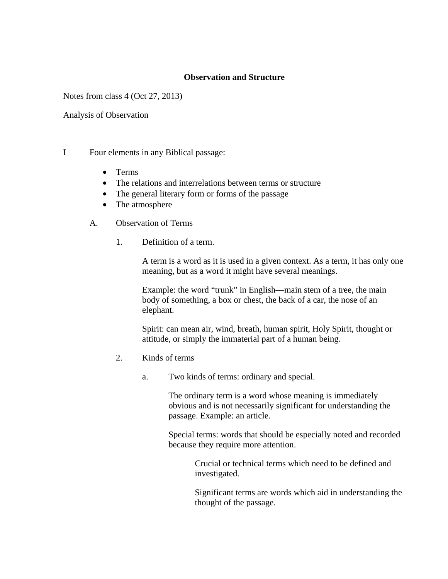## **Observation and Structure**

Notes from class 4 (Oct 27, 2013)

Analysis of Observation

- I Four elements in any Biblical passage:
	- Terms
	- The relations and interrelations between terms or structure
	- The general literary form or forms of the passage
	- The atmosphere
	- A. Observation of Terms
		- 1. Definition of a term.

A term is a word as it is used in a given context. As a term, it has only one meaning, but as a word it might have several meanings.

Example: the word "trunk" in English—main stem of a tree, the main body of something, a box or chest, the back of a car, the nose of an elephant.

Spirit: can mean air, wind, breath, human spirit, Holy Spirit, thought or attitude, or simply the immaterial part of a human being.

- 2. Kinds of terms
	- a. Two kinds of terms: ordinary and special.

The ordinary term is a word whose meaning is immediately obvious and is not necessarily significant for understanding the passage. Example: an article.

Special terms: words that should be especially noted and recorded because they require more attention.

> Crucial or technical terms which need to be defined and investigated.

Significant terms are words which aid in understanding the thought of the passage.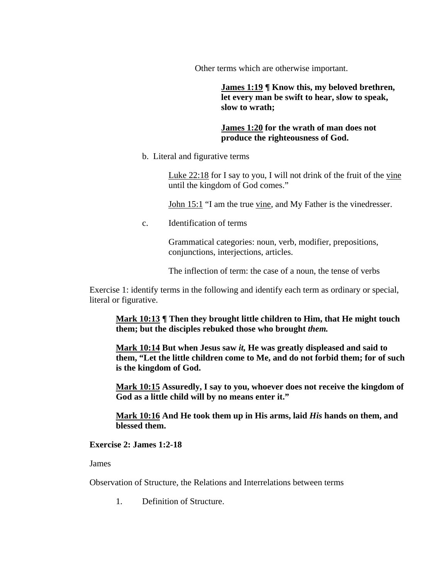Other terms which are otherwise important.

**James 1:19 ¶ Know this, my beloved brethren, let every man be swift to hear, slow to speak, slow to wrath;** 

## **James 1:20 for the wrath of man does not produce the righteousness of God.**

b. Literal and figurative terms

Luke 22:18 for I say to you, I will not drink of the fruit of the vine until the kingdom of God comes."

John 15:1 "I am the true vine, and My Father is the vinedresser.

c. Identification of terms

Grammatical categories: noun, verb, modifier, prepositions, conjunctions, interjections, articles.

The inflection of term: the case of a noun, the tense of verbs

Exercise 1: identify terms in the following and identify each term as ordinary or special, literal or figurative.

**Mark 10:13 ¶ Then they brought little children to Him, that He might touch them; but the disciples rebuked those who brought** *them.*

**Mark 10:14 But when Jesus saw** *it,* **He was greatly displeased and said to them, "Let the little children come to Me, and do not forbid them; for of such is the kingdom of God.** 

**Mark 10:15 Assuredly, I say to you, whoever does not receive the kingdom of God as a little child will by no means enter it."** 

**Mark 10:16 And He took them up in His arms, laid** *His* **hands on them, and blessed them.** 

## **Exercise 2: James 1:2-18**

James

Observation of Structure, the Relations and Interrelations between terms

1. Definition of Structure.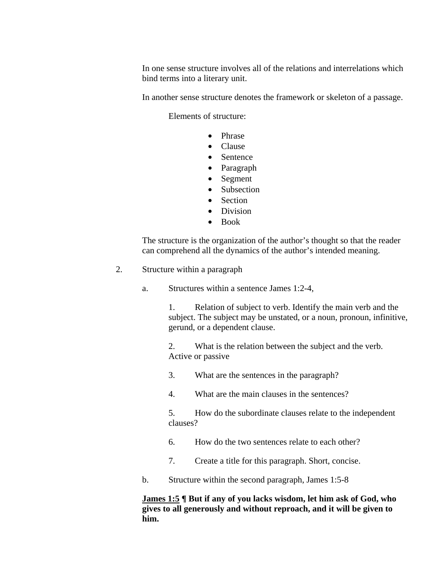In one sense structure involves all of the relations and interrelations which bind terms into a literary unit.

In another sense structure denotes the framework or skeleton of a passage.

Elements of structure:

- Phrase
- Clause
- Sentence
- Paragraph
- Segment
- Subsection
- Section
- Division
- Book

The structure is the organization of the author's thought so that the reader can comprehend all the dynamics of the author's intended meaning.

- 2. Structure within a paragraph
	- a. Structures within a sentence James 1:2-4,

1. Relation of subject to verb. Identify the main verb and the subject. The subject may be unstated, or a noun, pronoun, infinitive, gerund, or a dependent clause.

2. What is the relation between the subject and the verb. Active or passive

- 3. What are the sentences in the paragraph?
- 4. What are the main clauses in the sentences?

5. How do the subordinate clauses relate to the independent clauses?

- 6. How do the two sentences relate to each other?
- 7. Create a title for this paragraph. Short, concise.
- b. Structure within the second paragraph, James 1:5-8

**James 1:5 ¶ But if any of you lacks wisdom, let him ask of God, who gives to all generously and without reproach, and it will be given to him.**